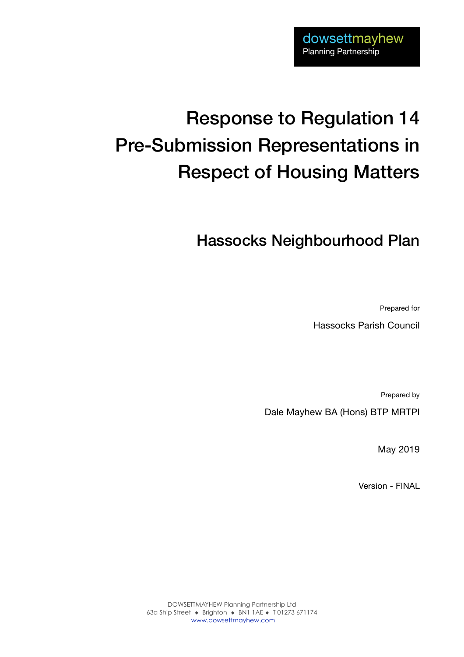# Response to Regulation 14 Pre-Submission Representations in Respect of Housing Matters

# Hassocks Neighbourhood Plan

Prepared for

Hassocks Parish Council

Prepared by

Dale Mayhew BA (Hons) BTP MRTPI

May 2019

Version - FINAL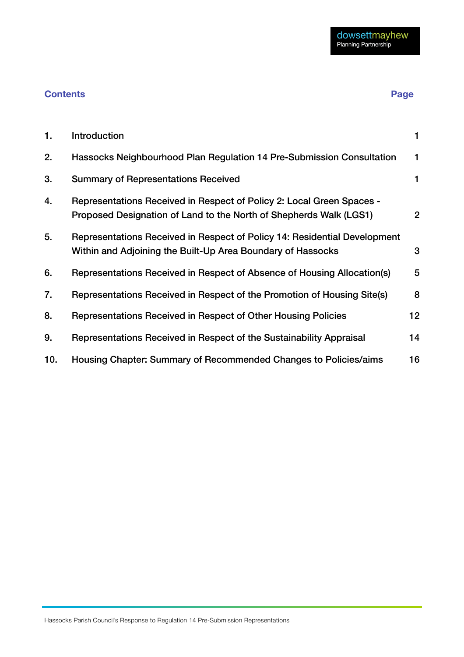# **Contents Page**

| 1.  | Introduction                                                                                                                                |                |
|-----|---------------------------------------------------------------------------------------------------------------------------------------------|----------------|
| 2.  | Hassocks Neighbourhood Plan Regulation 14 Pre-Submission Consultation                                                                       | 1              |
| 3.  | <b>Summary of Representations Received</b>                                                                                                  | 1              |
| 4.  | Representations Received in Respect of Policy 2: Local Green Spaces -<br>Proposed Designation of Land to the North of Shepherds Walk (LGS1) | $\overline{2}$ |
| 5.  | Representations Received in Respect of Policy 14: Residential Development<br>Within and Adjoining the Built-Up Area Boundary of Hassocks    | 3              |
| 6.  | Representations Received in Respect of Absence of Housing Allocation(s)                                                                     | 5              |
| 7.  | Representations Received in Respect of the Promotion of Housing Site(s)                                                                     | 8              |
| 8.  | Representations Received in Respect of Other Housing Policies                                                                               | $12 \,$        |
| 9.  | Representations Received in Respect of the Sustainability Appraisal                                                                         | 14             |
| 10. | Housing Chapter: Summary of Recommended Changes to Policies/aims                                                                            | 16             |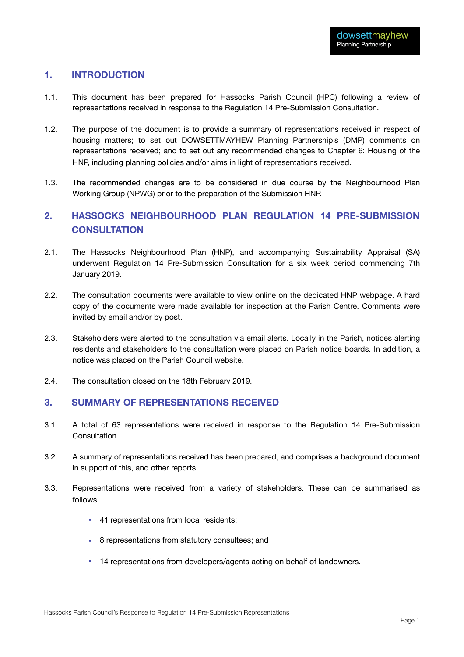### <span id="page-2-0"></span>**1. INTRODUCTION**

- 1.1. This document has been prepared for Hassocks Parish Council (HPC) following a review of representations received in response to the Regulation 14 Pre-Submission Consultation.
- 1.2. The purpose of the document is to provide a summary of representations received in respect of housing matters; to set out DOWSETTMAYHEW Planning Partnership's (DMP) comments on representations received; and to set out any recommended changes to Chapter 6: Housing of the HNP, including planning policies and/or aims in light of representations received.
- 1.3. The recommended changes are to be considered in due course by the Neighbourhood Plan Working Group (NPWG) prior to the preparation of the Submission HNP.

### <span id="page-2-1"></span>**2. HASSOCKS NEIGHBOURHOOD PLAN REGULATION 14 PRE-SUBMISSION CONSULTATION**

- 2.1. The Hassocks Neighbourhood Plan (HNP), and accompanying Sustainability Appraisal (SA) underwent Regulation 14 Pre-Submission Consultation for a six week period commencing 7th January 2019.
- 2.2. The consultation documents were available to view online on the dedicated HNP webpage. A hard copy of the documents were made available for inspection at the Parish Centre. Comments were invited by email and/or by post.
- 2.3. Stakeholders were alerted to the consultation via email alerts. Locally in the Parish, notices alerting residents and stakeholders to the consultation were placed on Parish notice boards. In addition, a notice was placed on the Parish Council website.
- 2.4. The consultation closed on the 18th February 2019.

#### <span id="page-2-2"></span>**3. SUMMARY OF REPRESENTATIONS RECEIVED**

- 3.1. A total of 63 representations were received in response to the Regulation 14 Pre-Submission Consultation.
- 3.2. A summary of representations received has been prepared, and comprises a background document in support of this, and other reports.
- 3.3. Representations were received from a variety of stakeholders. These can be summarised as follows:
	- 41 representations from local residents;
	- 8 representations from statutory consultees; and
	- 14 representations from developers/agents acting on behalf of landowners.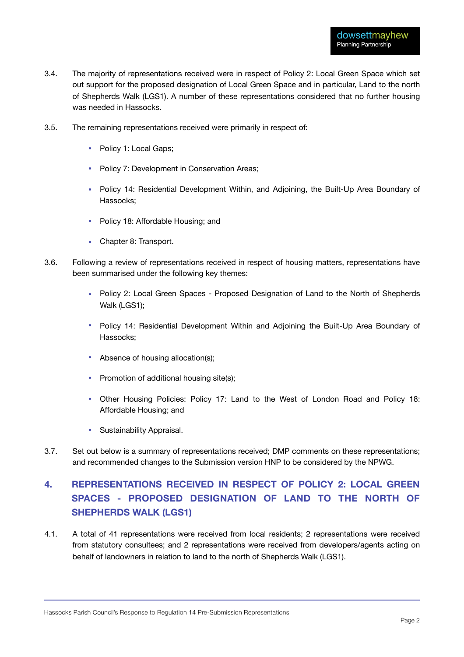- 3.4. The majority of representations received were in respect of Policy 2: Local Green Space which set out support for the proposed designation of Local Green Space and in particular, Land to the north of Shepherds Walk (LGS1). A number of these representations considered that no further housing was needed in Hassocks.
- 3.5. The remaining representations received were primarily in respect of:
	- Policy 1: Local Gaps;
	- Policy 7: Development in Conservation Areas:
	- Policy 14: Residential Development Within, and Adjoining, the Built-Up Area Boundary of Hassocks;
	- Policy 18: Affordable Housing; and
	- Chapter 8: Transport.
- 3.6. Following a review of representations received in respect of housing matters, representations have been summarised under the following key themes:
	- Policy 2: Local Green Spaces Proposed Designation of Land to the North of Shepherds Walk (LGS1);
	- Policy 14: Residential Development Within and Adjoining the Built-Up Area Boundary of Hassocks;
	- Absence of housing allocation(s);
	- Promotion of additional housing site(s);
	- Other Housing Policies: Policy 17: Land to the West of London Road and Policy 18: Affordable Housing; and
	- Sustainability Appraisal.
- 3.7. Set out below is a summary of representations received; DMP comments on these representations; and recommended changes to the Submission version HNP to be considered by the NPWG.

# <span id="page-3-0"></span>**4. REPRESENTATIONS RECEIVED IN RESPECT OF POLICY 2: LOCAL GREEN SPACES - PROPOSED DESIGNATION OF LAND TO THE NORTH OF SHEPHERDS WALK (LGS1)**

4.1. A total of 41 representations were received from local residents; 2 representations were received from statutory consultees; and 2 representations were received from developers/agents acting on behalf of landowners in relation to land to the north of Shepherds Walk (LGS1).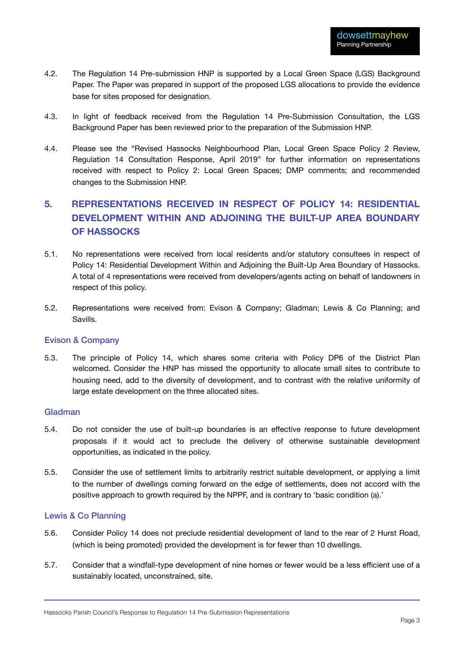- 4.2. The Regulation 14 Pre-submission HNP is supported by a Local Green Space (LGS) Background Paper. The Paper was prepared in support of the proposed LGS allocations to provide the evidence base for sites proposed for designation.
- 4.3. In light of feedback received from the Regulation 14 Pre-Submission Consultation, the LGS Background Paper has been reviewed prior to the preparation of the Submission HNP.
- 4.4. Please see the "Revised Hassocks Neighbourhood Plan, Local Green Space Policy 2 Review, Regulation 14 Consultation Response, April 2019" for further information on representations received with respect to Policy 2: Local Green Spaces; DMP comments; and recommended changes to the Submission HNP.

# <span id="page-4-0"></span>**5. REPRESENTATIONS RECEIVED IN RESPECT OF POLICY 14: RESIDENTIAL DEVELOPMENT WITHIN AND ADJOINING THE BUILT-UP AREA BOUNDARY OF HASSOCKS**

- 5.1. No representations were received from local residents and/or statutory consultees in respect of Policy 14: Residential Development Within and Adjoining the Built-Up Area Boundary of Hassocks. A total of 4 representations were received from developers/agents acting on behalf of landowners in respect of this policy.
- 5.2. Representations were received from: Evison & Company; Gladman; Lewis & Co Planning; and Savills.

#### Evison & Company

5.3. The principle of Policy 14, which shares some criteria with Policy DP6 of the District Plan welcomed. Consider the HNP has missed the opportunity to allocate small sites to contribute to housing need, add to the diversity of development, and to contrast with the relative uniformity of large estate development on the three allocated sites.

#### Gladman

- 5.4. Do not consider the use of built-up boundaries is an effective response to future development proposals if it would act to preclude the delivery of otherwise sustainable development opportunities, as indicated in the policy.
- 5.5. Consider the use of settlement limits to arbitrarily restrict suitable development, or applying a limit to the number of dwellings coming forward on the edge of settlements, does not accord with the positive approach to growth required by the NPPF, and is contrary to 'basic condition (a).'

#### Lewis & Co Planning

- 5.6. Consider Policy 14 does not preclude residential development of land to the rear of 2 Hurst Road, (which is being promoted) provided the development is for fewer than 10 dwellings.
- 5.7. Consider that a windfall-type development of nine homes or fewer would be a less efficient use of a sustainably located, unconstrained, site.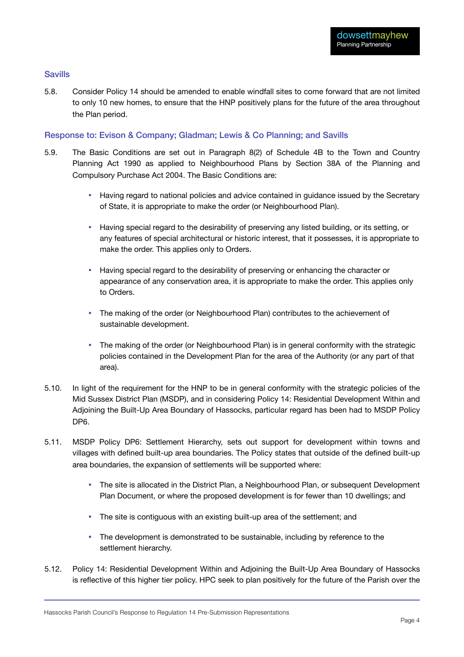#### Savills

5.8. Consider Policy 14 should be amended to enable windfall sites to come forward that are not limited to only 10 new homes, to ensure that the HNP positively plans for the future of the area throughout the Plan period.

#### Response to: Evison & Company; Gladman; Lewis & Co Planning; and Savills

- 5.9. The Basic Conditions are set out in Paragraph 8(2) of Schedule 4B to the Town and Country Planning Act 1990 as applied to Neighbourhood Plans by Section 38A of the Planning and Compulsory Purchase Act 2004. The Basic Conditions are:
	- Having regard to national policies and advice contained in guidance issued by the Secretary of State, it is appropriate to make the order (or Neighbourhood Plan).
	- Having special regard to the desirability of preserving any listed building, or its setting, or any features of special architectural or historic interest, that it possesses, it is appropriate to make the order. This applies only to Orders.
	- Having special regard to the desirability of preserving or enhancing the character or appearance of any conservation area, it is appropriate to make the order. This applies only to Orders.
	- The making of the order (or Neighbourhood Plan) contributes to the achievement of sustainable development.
	- The making of the order (or Neighbourhood Plan) is in general conformity with the strategic policies contained in the Development Plan for the area of the Authority (or any part of that area).
- 5.10. In light of the requirement for the HNP to be in general conformity with the strategic policies of the Mid Sussex District Plan (MSDP), and in considering Policy 14: Residential Development Within and Adjoining the Built-Up Area Boundary of Hassocks, particular regard has been had to MSDP Policy DP6.
- 5.11. MSDP Policy DP6: Settlement Hierarchy, sets out support for development within towns and villages with defined built-up area boundaries. The Policy states that outside of the defined built-up area boundaries, the expansion of settlements will be supported where:
	- The site is allocated in the District Plan, a Neighbourhood Plan, or subsequent Development Plan Document, or where the proposed development is for fewer than 10 dwellings; and
	- The site is contiguous with an existing built-up area of the settlement; and
	- The development is demonstrated to be sustainable, including by reference to the settlement hierarchy.
- 5.12. Policy 14: Residential Development Within and Adjoining the Built-Up Area Boundary of Hassocks is reflective of this higher tier policy. HPC seek to plan positively for the future of the Parish over the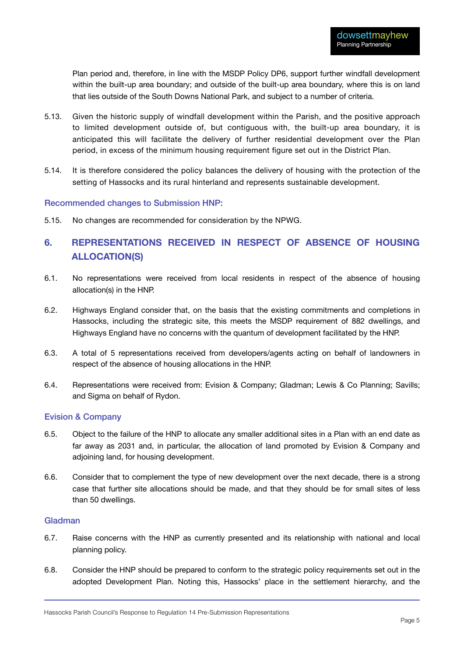Plan period and, therefore, in line with the MSDP Policy DP6, support further windfall development within the built-up area boundary; and outside of the built-up area boundary, where this is on land that lies outside of the South Downs National Park, and subject to a number of criteria.

- 5.13. Given the historic supply of windfall development within the Parish, and the positive approach to limited development outside of, but contiguous with, the built-up area boundary, it is anticipated this will facilitate the delivery of further residential development over the Plan period, in excess of the minimum housing requirement figure set out in the District Plan.
- 5.14. It is therefore considered the policy balances the delivery of housing with the protection of the setting of Hassocks and its rural hinterland and represents sustainable development.

#### Recommended changes to Submission HNP:

5.15. No changes are recommended for consideration by the NPWG.

# <span id="page-6-0"></span>**6. REPRESENTATIONS RECEIVED IN RESPECT OF ABSENCE OF HOUSING ALLOCATION(S)**

- 6.1. No representations were received from local residents in respect of the absence of housing allocation(s) in the HNP.
- 6.2. Highways England consider that, on the basis that the existing commitments and completions in Hassocks, including the strategic site, this meets the MSDP requirement of 882 dwellings, and Highways England have no concerns with the quantum of development facilitated by the HNP.
- 6.3. A total of 5 representations received from developers/agents acting on behalf of landowners in respect of the absence of housing allocations in the HNP.
- 6.4. Representations were received from: Evision & Company; Gladman; Lewis & Co Planning; Savills; and Sigma on behalf of Rydon.

#### Evision & Company

- 6.5. Object to the failure of the HNP to allocate any smaller additional sites in a Plan with an end date as far away as 2031 and, in particular, the allocation of land promoted by Evision & Company and adjoining land, for housing development.
- 6.6. Consider that to complement the type of new development over the next decade, there is a strong case that further site allocations should be made, and that they should be for small sites of less than 50 dwellings.

#### Gladman

- 6.7. Raise concerns with the HNP as currently presented and its relationship with national and local planning policy.
- 6.8. Consider the HNP should be prepared to conform to the strategic policy requirements set out in the adopted Development Plan. Noting this, Hassocks' place in the settlement hierarchy, and the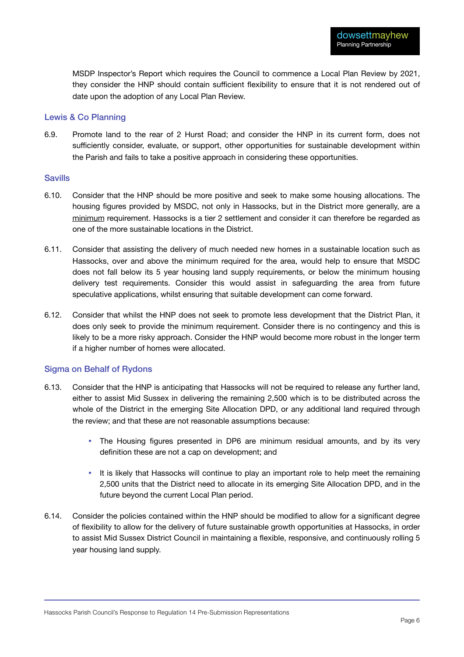MSDP Inspector's Report which requires the Council to commence a Local Plan Review by 2021, they consider the HNP should contain sufficient flexibility to ensure that it is not rendered out of date upon the adoption of any Local Plan Review.

#### Lewis & Co Planning

6.9. Promote land to the rear of 2 Hurst Road; and consider the HNP in its current form, does not sufficiently consider, evaluate, or support, other opportunities for sustainable development within the Parish and fails to take a positive approach in considering these opportunities.

#### Savills

- 6.10. Consider that the HNP should be more positive and seek to make some housing allocations. The housing figures provided by MSDC, not only in Hassocks, but in the District more generally, are a minimum requirement. Hassocks is a tier 2 settlement and consider it can therefore be regarded as one of the more sustainable locations in the District.
- 6.11. Consider that assisting the delivery of much needed new homes in a sustainable location such as Hassocks, over and above the minimum required for the area, would help to ensure that MSDC does not fall below its 5 year housing land supply requirements, or below the minimum housing delivery test requirements. Consider this would assist in safeguarding the area from future speculative applications, whilst ensuring that suitable development can come forward.
- 6.12. Consider that whilst the HNP does not seek to promote less development that the District Plan, it does only seek to provide the minimum requirement. Consider there is no contingency and this is likely to be a more risky approach. Consider the HNP would become more robust in the longer term if a higher number of homes were allocated.

#### Sigma on Behalf of Rydons

- 6.13. Consider that the HNP is anticipating that Hassocks will not be required to release any further land, either to assist Mid Sussex in delivering the remaining 2,500 which is to be distributed across the whole of the District in the emerging Site Allocation DPD, or any additional land required through the review; and that these are not reasonable assumptions because:
	- The Housing figures presented in DP6 are minimum residual amounts, and by its very definition these are not a cap on development; and
	- It is likely that Hassocks will continue to play an important role to help meet the remaining 2,500 units that the District need to allocate in its emerging Site Allocation DPD, and in the future beyond the current Local Plan period.
- 6.14. Consider the policies contained within the HNP should be modified to allow for a significant degree of flexibility to allow for the delivery of future sustainable growth opportunities at Hassocks, in order to assist Mid Sussex District Council in maintaining a flexible, responsive, and continuously rolling 5 year housing land supply.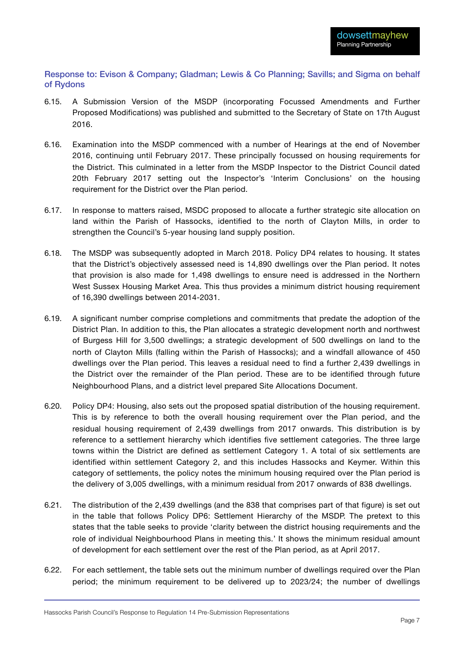Response to: Evison & Company; Gladman; Lewis & Co Planning; Savills; and Sigma on behalf of Rydons

- 6.15. A Submission Version of the MSDP (incorporating Focussed Amendments and Further Proposed Modifications) was published and submitted to the Secretary of State on 17th August 2016.
- 6.16. Examination into the MSDP commenced with a number of Hearings at the end of November 2016, continuing until February 2017. These principally focussed on housing requirements for the District. This culminated in a letter from the MSDP Inspector to the District Council dated 20th February 2017 setting out the Inspector's 'Interim Conclusions' on the housing requirement for the District over the Plan period.
- 6.17. In response to matters raised, MSDC proposed to allocate a further strategic site allocation on land within the Parish of Hassocks, identified to the north of Clayton Mills, in order to strengthen the Council's 5-year housing land supply position.
- 6.18. The MSDP was subsequently adopted in March 2018. Policy DP4 relates to housing. It states that the District's objectively assessed need is 14,890 dwellings over the Plan period. It notes that provision is also made for 1,498 dwellings to ensure need is addressed in the Northern West Sussex Housing Market Area. This thus provides a minimum district housing requirement of 16,390 dwellings between 2014-2031.
- 6.19. A significant number comprise completions and commitments that predate the adoption of the District Plan. In addition to this, the Plan allocates a strategic development north and northwest of Burgess Hill for 3,500 dwellings; a strategic development of 500 dwellings on land to the north of Clayton Mills (falling within the Parish of Hassocks); and a windfall allowance of 450 dwellings over the Plan period. This leaves a residual need to find a further 2,439 dwellings in the District over the remainder of the Plan period. These are to be identified through future Neighbourhood Plans, and a district level prepared Site Allocations Document.
- 6.20. Policy DP4: Housing, also sets out the proposed spatial distribution of the housing requirement. This is by reference to both the overall housing requirement over the Plan period, and the residual housing requirement of 2,439 dwellings from 2017 onwards. This distribution is by reference to a settlement hierarchy which identifies five settlement categories. The three large towns within the District are defined as settlement Category 1. A total of six settlements are identified within settlement Category 2, and this includes Hassocks and Keymer. Within this category of settlements, the policy notes the minimum housing required over the Plan period is the delivery of 3,005 dwellings, with a minimum residual from 2017 onwards of 838 dwellings.
- 6.21. The distribution of the 2,439 dwellings (and the 838 that comprises part of that figure) is set out in the table that follows Policy DP6: Settlement Hierarchy of the MSDP. The pretext to this states that the table seeks to provide 'clarity between the district housing requirements and the role of individual Neighbourhood Plans in meeting this.' It shows the minimum residual amount of development for each settlement over the rest of the Plan period, as at April 2017.
- 6.22. For each settlement, the table sets out the minimum number of dwellings required over the Plan period; the minimum requirement to be delivered up to 2023/24; the number of dwellings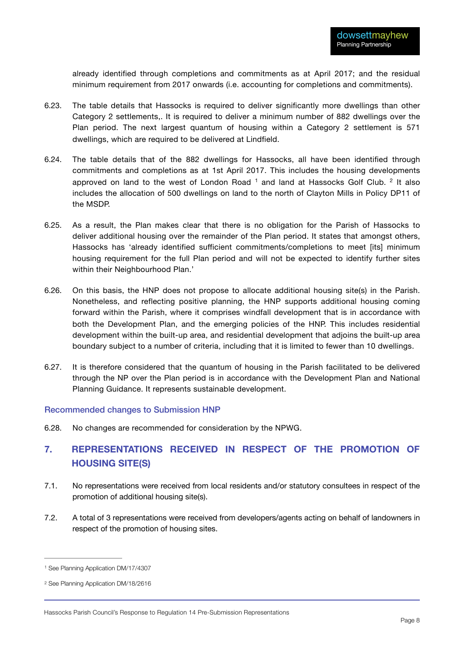<span id="page-9-4"></span>already identified through completions and commitments as at April 2017; and the residual minimum requirement from 2017 onwards (i.e. accounting for completions and commitments).

- 6.23. The table details that Hassocks is required to deliver significantly more dwellings than other Category 2 settlements,. It is required to deliver a minimum number of 882 dwellings over the Plan period. The next largest quantum of housing within a Category 2 settlement is 571 dwellings, which are required to be delivered at Lindfield.
- <span id="page-9-3"></span>6.24. The table details that of the 882 dwellings for Hassocks, all have been identified through commitments and completions as at 1st April 2017. This includes the housing developments approved on land to the west of London Road  $1$  and land at Hassocks Golf Club.  $2$  It also includes the allocation of 500 dwellings on land to the north of Clayton Mills in Policy DP11 of the MSDP.
- 6.25. As a result, the Plan makes clear that there is no obligation for the Parish of Hassocks to deliver additional housing over the remainder of the Plan period. It states that amongst others, Hassocks has 'already identified sufficient commitments/completions to meet [its] minimum housing requirement for the full Plan period and will not be expected to identify further sites within their Neighbourhood Plan.'
- 6.26. On this basis, the HNP does not propose to allocate additional housing site(s) in the Parish. Nonetheless, and reflecting positive planning, the HNP supports additional housing coming forward within the Parish, where it comprises windfall development that is in accordance with both the Development Plan, and the emerging policies of the HNP. This includes residential development within the built-up area, and residential development that adjoins the built-up area boundary subject to a number of criteria, including that it is limited to fewer than 10 dwellings.
- 6.27. It is therefore considered that the quantum of housing in the Parish facilitated to be delivered through the NP over the Plan period is in accordance with the Development Plan and National Planning Guidance. It represents sustainable development.

#### Recommended changes to Submission HNP

6.28. No changes are recommended for consideration by the NPWG.

# <span id="page-9-0"></span>**7. REPRESENTATIONS RECEIVED IN RESPECT OF THE PROMOTION OF HOUSING SITE(S)**

- 7.1. No representations were received from local residents and/or statutory consultees in respect of the promotion of additional housing site(s).
- 7.2. A total of 3 representations were received from developers/agents acting on behalf of landowners in respect of the promotion of housing sites.

<span id="page-9-1"></span>[<sup>1</sup>](#page-9-3) See Planning Application DM/17/4307

<span id="page-9-2"></span>[<sup>2</sup>](#page-9-4) See Planning Application DM/18/2616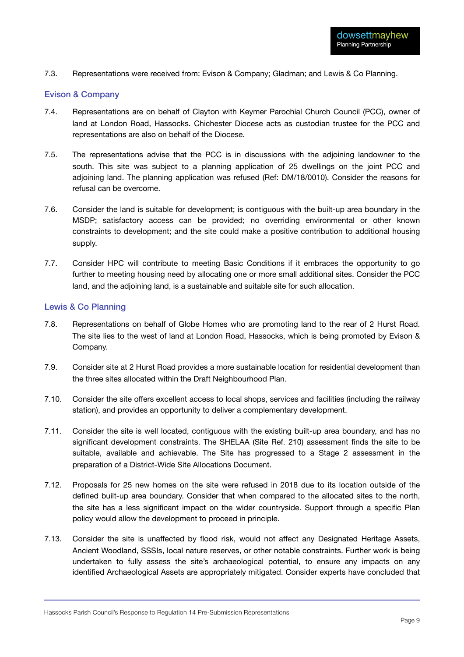7.3. Representations were received from: Evison & Company; Gladman; and Lewis & Co Planning.

#### Evison & Company

- 7.4. Representations are on behalf of Clayton with Keymer Parochial Church Council (PCC), owner of land at London Road, Hassocks. Chichester Diocese acts as custodian trustee for the PCC and representations are also on behalf of the Diocese.
- 7.5. The representations advise that the PCC is in discussions with the adjoining landowner to the south. This site was subject to a planning application of 25 dwellings on the joint PCC and adjoining land. The planning application was refused (Ref: DM/18/0010). Consider the reasons for refusal can be overcome.
- 7.6. Consider the land is suitable for development; is contiguous with the built-up area boundary in the MSDP; satisfactory access can be provided; no overriding environmental or other known constraints to development; and the site could make a positive contribution to additional housing supply.
- 7.7. Consider HPC will contribute to meeting Basic Conditions if it embraces the opportunity to go further to meeting housing need by allocating one or more small additional sites. Consider the PCC land, and the adjoining land, is a sustainable and suitable site for such allocation.

#### Lewis & Co Planning

- 7.8. Representations on behalf of Globe Homes who are promoting land to the rear of 2 Hurst Road. The site lies to the west of land at London Road, Hassocks, which is being promoted by Evison & Company.
- 7.9. Consider site at 2 Hurst Road provides a more sustainable location for residential development than the three sites allocated within the Draft Neighbourhood Plan.
- 7.10. Consider the site offers excellent access to local shops, services and facilities (including the railway station), and provides an opportunity to deliver a complementary development.
- 7.11. Consider the site is well located, contiguous with the existing built-up area boundary, and has no significant development constraints. The SHELAA (Site Ref. 210) assessment finds the site to be suitable, available and achievable. The Site has progressed to a Stage 2 assessment in the preparation of a District-Wide Site Allocations Document.
- 7.12. Proposals for 25 new homes on the site were refused in 2018 due to its location outside of the defined built-up area boundary. Consider that when compared to the allocated sites to the north, the site has a less significant impact on the wider countryside. Support through a specific Plan policy would allow the development to proceed in principle.
- 7.13. Consider the site is unaffected by flood risk, would not affect any Designated Heritage Assets, Ancient Woodland, SSSIs, local nature reserves, or other notable constraints. Further work is being undertaken to fully assess the site's archaeological potential, to ensure any impacts on any identified Archaeological Assets are appropriately mitigated. Consider experts have concluded that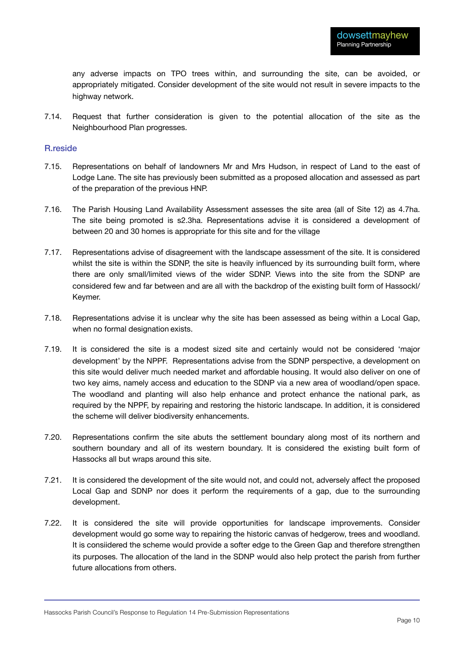any adverse impacts on TPO trees within, and surrounding the site, can be avoided, or appropriately mitigated. Consider development of the site would not result in severe impacts to the highway network.

7.14. Request that further consideration is given to the potential allocation of the site as the Neighbourhood Plan progresses.

#### R.reside

- 7.15. Representations on behalf of landowners Mr and Mrs Hudson, in respect of Land to the east of Lodge Lane. The site has previously been submitted as a proposed allocation and assessed as part of the preparation of the previous HNP.
- 7.16. The Parish Housing Land Availability Assessment assesses the site area (all of Site 12) as 4.7ha. The site being promoted is s2.3ha. Representations advise it is considered a development of between 20 and 30 homes is appropriate for this site and for the village
- 7.17. Representations advise of disagreement with the landscape assessment of the site. It is considered whilst the site is within the SDNP, the site is heavily influenced by its surrounding built form, where there are only small/limited views of the wider SDNP. Views into the site from the SDNP are considered few and far between and are all with the backdrop of the existing built form of Hassockl/ Keymer.
- 7.18. Representations advise it is unclear why the site has been assessed as being within a Local Gap, when no formal designation exists.
- 7.19. It is considered the site is a modest sized site and certainly would not be considered 'major development' by the NPPF. Representations advise from the SDNP perspective, a development on this site would deliver much needed market and affordable housing. It would also deliver on one of two key aims, namely access and education to the SDNP via a new area of woodland/open space. The woodland and planting will also help enhance and protect enhance the national park, as required by the NPPF, by repairing and restoring the historic landscape. In addition, it is considered the scheme will deliver biodiversity enhancements.
- 7.20. Representations confirm the site abuts the settlement boundary along most of its northern and southern boundary and all of its western boundary. It is considered the existing built form of Hassocks all but wraps around this site.
- 7.21. It is considered the development of the site would not, and could not, adversely affect the proposed Local Gap and SDNP nor does it perform the requirements of a gap, due to the surrounding development.
- 7.22. It is considered the site will provide opportunities for landscape improvements. Consider development would go some way to repairing the historic canvas of hedgerow, trees and woodland. It is consiidered the scheme would provide a softer edge to the Green Gap and therefore strengthen its purposes. The allocation of the land in the SDNP would also help protect the parish from further future allocations from others.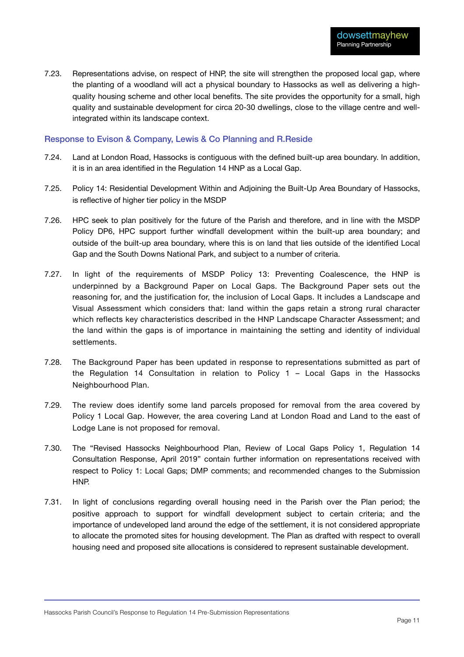7.23. Representations advise, on respect of HNP, the site will strengthen the proposed local gap, where the planting of a woodland will act a physical boundary to Hassocks as well as delivering a highquality housing scheme and other local benefits. The site provides the opportunity for a small, high quality and sustainable development for circa 20-30 dwellings, close to the village centre and wellintegrated within its landscape context.

#### Response to Evison & Company, Lewis & Co Planning and R.Reside

- 7.24. Land at London Road, Hassocks is contiguous with the defined built-up area boundary. In addition, it is in an area identified in the Regulation 14 HNP as a Local Gap.
- 7.25. Policy 14: Residential Development Within and Adjoining the Built-Up Area Boundary of Hassocks, is reflective of higher tier policy in the MSDP
- 7.26. HPC seek to plan positively for the future of the Parish and therefore, and in line with the MSDP Policy DP6, HPC support further windfall development within the built-up area boundary; and outside of the built-up area boundary, where this is on land that lies outside of the identified Local Gap and the South Downs National Park, and subject to a number of criteria.
- 7.27. In light of the requirements of MSDP Policy 13: Preventing Coalescence, the HNP is underpinned by a Background Paper on Local Gaps. The Background Paper sets out the reasoning for, and the justification for, the inclusion of Local Gaps. It includes a Landscape and Visual Assessment which considers that: land within the gaps retain a strong rural character which reflects key characteristics described in the HNP Landscape Character Assessment; and the land within the gaps is of importance in maintaining the setting and identity of individual settlements.
- 7.28. The Background Paper has been updated in response to representations submitted as part of the Regulation 14 Consultation in relation to Policy 1 – Local Gaps in the Hassocks Neighbourhood Plan.
- 7.29. The review does identify some land parcels proposed for removal from the area covered by Policy 1 Local Gap. However, the area covering Land at London Road and Land to the east of Lodge Lane is not proposed for removal.
- 7.30. The "Revised Hassocks Neighbourhood Plan, Review of Local Gaps Policy 1, Regulation 14 Consultation Response, April 2019" contain further information on representations received with respect to Policy 1: Local Gaps; DMP comments; and recommended changes to the Submission HNP.
- 7.31. In light of conclusions regarding overall housing need in the Parish over the Plan period; the positive approach to support for windfall development subject to certain criteria; and the importance of undeveloped land around the edge of the settlement, it is not considered appropriate to allocate the promoted sites for housing development. The Plan as drafted with respect to overall housing need and proposed site allocations is considered to represent sustainable development.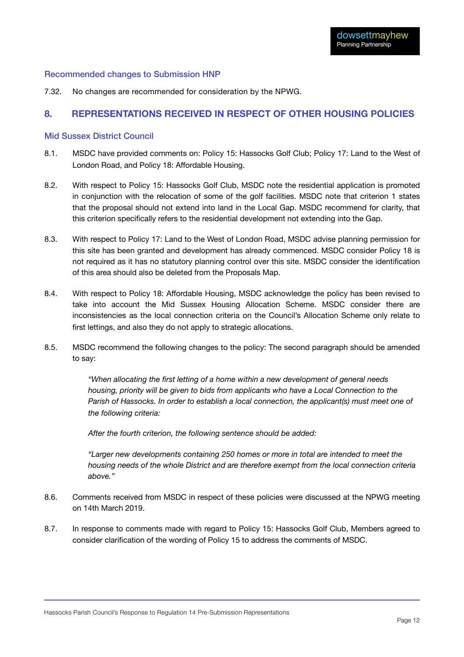#### Recommended changes to Submission HNP

7.32. No changes are recommended for consideration by the NPWG.

#### <span id="page-13-0"></span>**8. REPRESENTATIONS RECEIVED IN RESPECT OF OTHER HOUSING POLICIES**

#### Mid Sussex District Council

- 8.1. MSDC have provided comments on: Policy 15: Hassocks Golf Club; Policy 17: Land to the West of London Road, and Policy 18: Affordable Housing.
- 8.2. With respect to Policy 15: Hassocks Golf Club, MSDC note the residential application is promoted in conjunction with the relocation of some of the golf facilities. MSDC note that criterion 1 states that the proposal should not extend into land in the Local Gap. MSDC recommend for clarity, that this criterion specifically refers to the residential development not extending into the Gap.
- 8.3. With respect to Policy 17: Land to the West of London Road, MSDC advise planning permission for this site has been granted and development has already commenced. MSDC consider Policy 18 is not required as it has no statutory planning control over this site. MSDC consider the identification of this area should also be deleted from the Proposals Map.
- 8.4. With respect to Policy 18: Affordable Housing, MSDC acknowledge the policy has been revised to take into account the Mid Sussex Housing Allocation Scheme. MSDC consider there are inconsistencies as the local connection criteria on the Council's Allocation Scheme only relate to first lettings, and also they do not apply to strategic allocations.
- 8.5. MSDC recommend the following changes to the policy: The second paragraph should be amended to say:

*"When allocating the first letting of a home within a new development of general needs housing, priority will be given to bids from applicants who have a Local Connection to the Parish of Hassocks. In order to establish a local connection, the applicant(s) must meet one of the following criteria:* 

*After the fourth criterion, the following sentence should be added:* 

*"Larger new developments containing 250 homes or more in total are intended to meet the housing needs of the whole District and are therefore exempt from the local connection criteria above."* 

- 8.6. Comments received from MSDC in respect of these policies were discussed at the NPWG meeting on 14th March 2019.
- 8.7. In response to comments made with regard to Policy 15: Hassocks Golf Club, Members agreed to consider clarification of the wording of Policy 15 to address the comments of MSDC.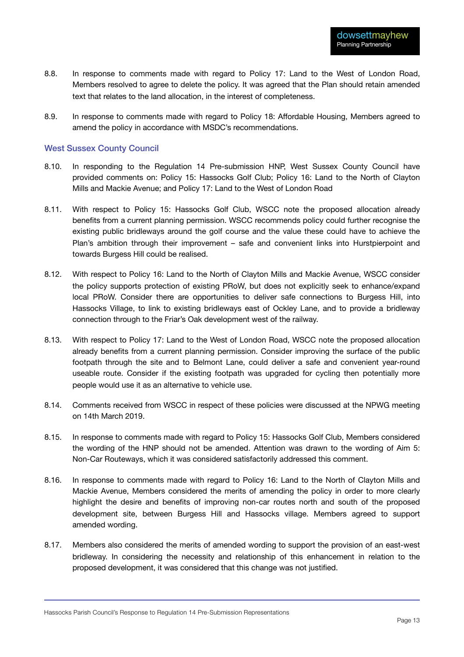- 8.8. In response to comments made with regard to Policy 17: Land to the West of London Road, Members resolved to agree to delete the policy. It was agreed that the Plan should retain amended text that relates to the land allocation, in the interest of completeness.
- 8.9. In response to comments made with regard to Policy 18: Affordable Housing, Members agreed to amend the policy in accordance with MSDC's recommendations.

#### West Sussex County Council

- 8.10. In responding to the Regulation 14 Pre-submission HNP, West Sussex County Council have provided comments on: Policy 15: Hassocks Golf Club; Policy 16: Land to the North of Clayton Mills and Mackie Avenue; and Policy 17: Land to the West of London Road
- 8.11. With respect to Policy 15: Hassocks Golf Club, WSCC note the proposed allocation already benefits from a current planning permission. WSCC recommends policy could further recognise the existing public bridleways around the golf course and the value these could have to achieve the Plan's ambition through their improvement – safe and convenient links into Hurstpierpoint and towards Burgess Hill could be realised.
- 8.12. With respect to Policy 16: Land to the North of Clayton Mills and Mackie Avenue, WSCC consider the policy supports protection of existing PRoW, but does not explicitly seek to enhance/expand local PRoW. Consider there are opportunities to deliver safe connections to Burgess Hill, into Hassocks Village, to link to existing bridleways east of Ockley Lane, and to provide a bridleway connection through to the Friar's Oak development west of the railway.
- 8.13. With respect to Policy 17: Land to the West of London Road, WSCC note the proposed allocation already benefits from a current planning permission. Consider improving the surface of the public footpath through the site and to Belmont Lane, could deliver a safe and convenient year-round useable route. Consider if the existing footpath was upgraded for cycling then potentially more people would use it as an alternative to vehicle use.
- 8.14. Comments received from WSCC in respect of these policies were discussed at the NPWG meeting on 14th March 2019.
- 8.15. In response to comments made with regard to Policy 15: Hassocks Golf Club, Members considered the wording of the HNP should not be amended. Attention was drawn to the wording of Aim 5: Non-Car Routeways, which it was considered satisfactorily addressed this comment.
- 8.16. In response to comments made with regard to Policy 16: Land to the North of Clayton Mills and Mackie Avenue, Members considered the merits of amending the policy in order to more clearly highlight the desire and benefits of improving non-car routes north and south of the proposed development site, between Burgess Hill and Hassocks village. Members agreed to support amended wording.
- 8.17. Members also considered the merits of amended wording to support the provision of an east-west bridleway. In considering the necessity and relationship of this enhancement in relation to the proposed development, it was considered that this change was not justified.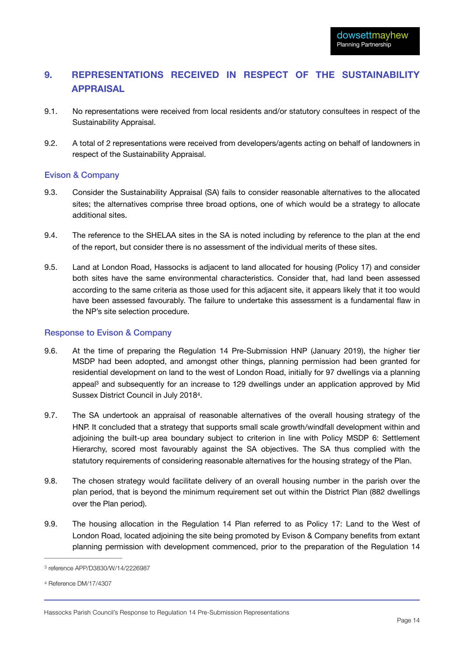# <span id="page-15-0"></span>**9. REPRESENTATIONS RECEIVED IN RESPECT OF THE SUSTAINABILITY APPRAISAL**

- 9.1. No representations were received from local residents and/or statutory consultees in respect of the Sustainability Appraisal.
- 9.2. A total of 2 representations were received from developers/agents acting on behalf of landowners in respect of the Sustainability Appraisal.

#### Evison & Company

- 9.3. Consider the Sustainability Appraisal (SA) fails to consider reasonable alternatives to the allocated sites; the alternatives comprise three broad options, one of which would be a strategy to allocate additional sites.
- 9.4. The reference to the SHELAA sites in the SA is noted including by reference to the plan at the end of the report, but consider there is no assessment of the individual merits of these sites.
- 9.5. Land at London Road, Hassocks is adjacent to land allocated for housing (Policy 17) and consider both sites have the same environmental characteristics. Consider that, had land been assessed according to the same criteria as those used for this adjacent site, it appears likely that it too would have been assessed favourably. The failure to undertake this assessment is a fundamental flaw in the NP's site selection procedure.

#### Response to Evison & Company

- 9.6. At the time of preparing the Regulation 14 Pre-Submission HNP (January 2019), the higher tier MSDP had been adopted, and amongst other things, planning permission had been granted for residential development on land to the west of London Road, initially for 97 dwellings via a planning appeal $3$  and subsequently for an increase to 129 dwellings under an application approved by Mid Sussex District Council in July 2018[4](#page-15-2).
- <span id="page-15-4"></span><span id="page-15-3"></span>9.7. The SA undertook an appraisal of reasonable alternatives of the overall housing strategy of the HNP. It concluded that a strategy that supports small scale growth/windfall development within and adjoining the built-up area boundary subject to criterion in line with Policy MSDP 6: Settlement Hierarchy, scored most favourably against the SA objectives. The SA thus complied with the statutory requirements of considering reasonable alternatives for the housing strategy of the Plan.
- 9.8. The chosen strategy would facilitate delivery of an overall housing number in the parish over the plan period, that is beyond the minimum requirement set out within the District Plan (882 dwellings over the Plan period).
- 9.9. The housing allocation in the Regulation 14 Plan referred to as Policy 17: Land to the West of London Road, located adjoining the site being promoted by Evison & Company benefits from extant planning permission with development commenced, prior to the preparation of the Regulation 14

<span id="page-15-1"></span>[<sup>3</sup>](#page-15-3) reference APP/D3830/W/14/2226987

<span id="page-15-2"></span>[<sup>4</sup>](#page-15-4) Reference DM/17/4307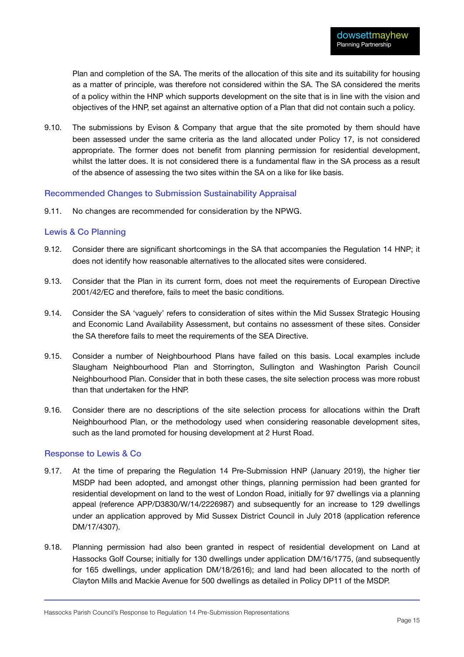Plan and completion of the SA. The merits of the allocation of this site and its suitability for housing as a matter of principle, was therefore not considered within the SA. The SA considered the merits of a policy within the HNP which supports development on the site that is in line with the vision and objectives of the HNP, set against an alternative option of a Plan that did not contain such a policy.

9.10. The submissions by Evison & Company that argue that the site promoted by them should have been assessed under the same criteria as the land allocated under Policy 17, is not considered appropriate. The former does not benefit from planning permission for residential development, whilst the latter does. It is not considered there is a fundamental flaw in the SA process as a result of the absence of assessing the two sites within the SA on a like for like basis.

#### Recommended Changes to Submission Sustainability Appraisal

9.11. No changes are recommended for consideration by the NPWG.

#### Lewis & Co Planning

- 9.12. Consider there are significant shortcomings in the SA that accompanies the Regulation 14 HNP; it does not identify how reasonable alternatives to the allocated sites were considered.
- 9.13. Consider that the Plan in its current form, does not meet the requirements of European Directive 2001/42/EC and therefore, fails to meet the basic conditions.
- 9.14. Consider the SA 'vaguely' refers to consideration of sites within the Mid Sussex Strategic Housing and Economic Land Availability Assessment, but contains no assessment of these sites. Consider the SA therefore fails to meet the requirements of the SEA Directive.
- 9.15. Consider a number of Neighbourhood Plans have failed on this basis. Local examples include Slaugham Neighbourhood Plan and Storrington, Sullington and Washington Parish Council Neighbourhood Plan. Consider that in both these cases, the site selection process was more robust than that undertaken for the HNP.
- 9.16. Consider there are no descriptions of the site selection process for allocations within the Draft Neighbourhood Plan, or the methodology used when considering reasonable development sites, such as the land promoted for housing development at 2 Hurst Road.

#### Response to Lewis & Co

- 9.17. At the time of preparing the Regulation 14 Pre-Submission HNP (January 2019), the higher tier MSDP had been adopted, and amongst other things, planning permission had been granted for residential development on land to the west of London Road, initially for 97 dwellings via a planning appeal (reference APP/D3830/W/14/2226987) and subsequently for an increase to 129 dwellings under an application approved by Mid Sussex District Council in July 2018 (application reference DM/17/4307).
- 9.18. Planning permission had also been granted in respect of residential development on Land at Hassocks Golf Course; initially for 130 dwellings under application DM/16/1775, (and subsequently for 165 dwellings, under application DM/18/2616); and land had been allocated to the north of Clayton Mills and Mackie Avenue for 500 dwellings as detailed in Policy DP11 of the MSDP.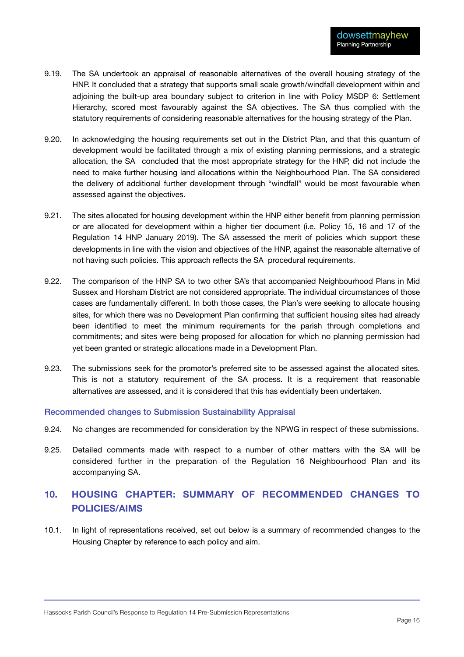- 9.19. The SA undertook an appraisal of reasonable alternatives of the overall housing strategy of the HNP. It concluded that a strategy that supports small scale growth/windfall development within and adjoining the built-up area boundary subject to criterion in line with Policy MSDP 6: Settlement Hierarchy, scored most favourably against the SA objectives. The SA thus complied with the statutory requirements of considering reasonable alternatives for the housing strategy of the Plan.
- 9.20. In acknowledging the housing requirements set out in the District Plan, and that this quantum of development would be facilitated through a mix of existing planning permissions, and a strategic allocation, the SA concluded that the most appropriate strategy for the HNP, did not include the need to make further housing land allocations within the Neighbourhood Plan. The SA considered the delivery of additional further development through "windfall" would be most favourable when assessed against the objectives.
- 9.21. The sites allocated for housing development within the HNP either benefit from planning permission or are allocated for development within a higher tier document (i.e. Policy 15, 16 and 17 of the Regulation 14 HNP January 2019). The SA assessed the merit of policies which support these developments in line with the vision and objectives of the HNP, against the reasonable alternative of not having such policies. This approach reflects the SA procedural requirements.
- 9.22. The comparison of the HNP SA to two other SA's that accompanied Neighbourhood Plans in Mid Sussex and Horsham District are not considered appropriate. The individual circumstances of those cases are fundamentally different. In both those cases, the Plan's were seeking to allocate housing sites, for which there was no Development Plan confirming that sufficient housing sites had already been identified to meet the minimum requirements for the parish through completions and commitments; and sites were being proposed for allocation for which no planning permission had yet been granted or strategic allocations made in a Development Plan.
- 9.23. The submissions seek for the promotor's preferred site to be assessed against the allocated sites. This is not a statutory requirement of the SA process. It is a requirement that reasonable alternatives are assessed, and it is considered that this has evidentially been undertaken.

#### Recommended changes to Submission Sustainability Appraisal

- 9.24. No changes are recommended for consideration by the NPWG in respect of these submissions.
- 9.25. Detailed comments made with respect to a number of other matters with the SA will be considered further in the preparation of the Regulation 16 Neighbourhood Plan and its accompanying SA.

# <span id="page-17-0"></span>**10. HOUSING CHAPTER: SUMMARY OF RECOMMENDED CHANGES TO POLICIES/AIMS**

10.1. In light of representations received, set out below is a summary of recommended changes to the Housing Chapter by reference to each policy and aim.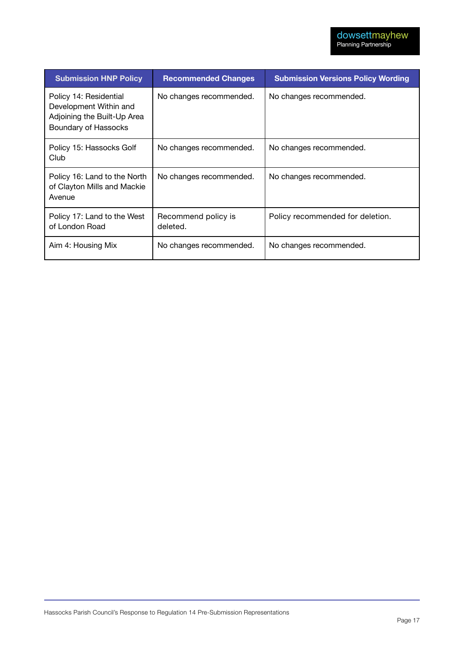| <b>Submission HNP Policy</b>                                                                            | <b>Recommended Changes</b>      | <b>Submission Versions Policy Wording</b> |
|---------------------------------------------------------------------------------------------------------|---------------------------------|-------------------------------------------|
| Policy 14: Residential<br>Development Within and<br>Adjoining the Built-Up Area<br>Boundary of Hassocks | No changes recommended.         | No changes recommended.                   |
| Policy 15: Hassocks Golf<br>Club                                                                        | No changes recommended.         | No changes recommended.                   |
| Policy 16: Land to the North<br>of Clayton Mills and Mackie<br>Avenue                                   | No changes recommended.         | No changes recommended.                   |
| Policy 17: Land to the West<br>of London Road                                                           | Recommend policy is<br>deleted. | Policy recommended for deletion.          |
| Aim 4: Housing Mix                                                                                      | No changes recommended.         | No changes recommended.                   |